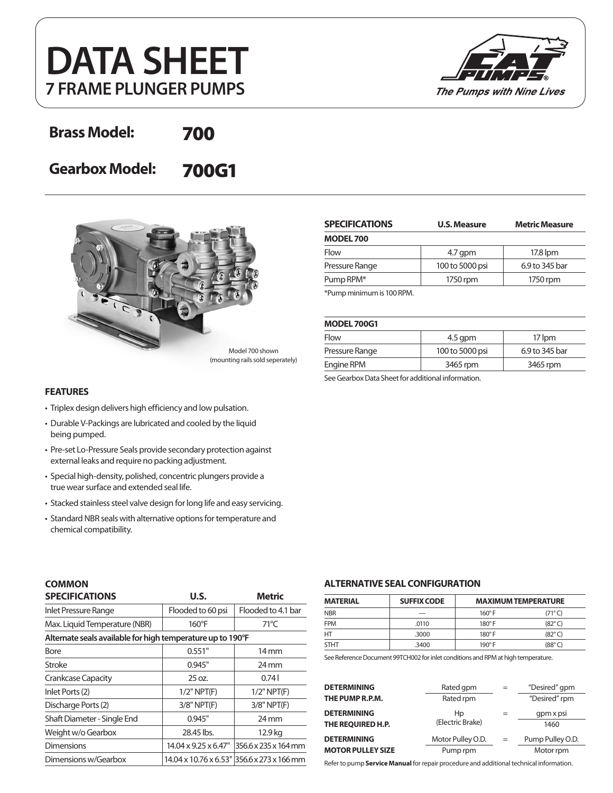# **DATA SHEET 7 FRAME PLUNGER PUMPS**



# **Brass Model:** 700

**Gearbox Model:** 700G1



Model 700 shown (mounting rails sold seperately)

#### **FEATURES**

- Triplex design delivers high efficiency and low pulsation.
- Durable V-Packings are lubricated and cooled by the liquid being pumped.
- Pre-set Lo-Pressure Seals provide secondary protection against external leaks and require no packing adjustment.
- Special high-density, polished, concentric plungers provide a true wear surface and extended seal life.
- Stacked stainless steel valve design for long life and easy servicing.
- Standard NBR seals with alternative options for temperature and chemical compatibility.

| <b>SPECIFICATIONS</b>     | <b>U.S. Measure</b> | <b>Metric Measure</b> |  |
|---------------------------|---------------------|-----------------------|--|
| <b>MODEL 700</b>          |                     |                       |  |
| Flow                      | $4.7$ qpm           | 17.8 lpm              |  |
| Pressure Range            | 100 to 5000 psi     | 6.9 to 345 bar        |  |
| Pump RPM <sup>*</sup>     | 1750 rpm            | 1750 rpm              |  |
| *Pump minimum is 100 RPM. |                     |                       |  |

#### **MODEL 700G1**

| Flow           | $4.5$ qpm       | 17 lpm         |  |  |
|----------------|-----------------|----------------|--|--|
| Pressure Range | 100 to 5000 psi | 6.9 to 345 bar |  |  |
| Engine RPM     | 3465 rpm        | 3465 rpm       |  |  |
|                |                 |                |  |  |

See Gearbox Data Sheet for additional information.

| <b>COMMON</b> |
|---------------|
| ---------     |

| <b>SPECIFICATIONS</b>                                      | U.S.                              | <b>Metric</b>                              |  |  |  |
|------------------------------------------------------------|-----------------------------------|--------------------------------------------|--|--|--|
| Inlet Pressure Range                                       | Flooded to 60 psi                 | Flooded to 4.1 bar                         |  |  |  |
| Max. Liquid Temperature (NBR)                              | $160^{\circ}$ F                   | $71^{\circ}$ C                             |  |  |  |
| Alternate seals available for high temperature up to 190°F |                                   |                                            |  |  |  |
| Bore                                                       | 0.551"                            | $14 \,\mathrm{mm}$                         |  |  |  |
| Stroke                                                     | 0.945"                            | $24 \,\mathrm{mm}$                         |  |  |  |
| Crankcase Capacity                                         | 25 oz.                            | 0.741                                      |  |  |  |
| Inlet Ports (2)                                            | $1/2$ " NPT $(F)$                 | $1/2$ " NPT $(F)$                          |  |  |  |
| Discharge Ports (2)                                        | $3/8"$ NPT $(F)$                  | $3/8"$ NPT $(F)$                           |  |  |  |
| Shaft Diameter - Single End                                | 0.945"                            | $24 \,\mathrm{mm}$                         |  |  |  |
| Weight w/o Gearbox                                         | 28.45 lbs.                        | 12.9 kg                                    |  |  |  |
| <b>Dimensions</b>                                          | $14.04 \times 9.25 \times 6.47$ " | 356.6 x 235 x 164 mm                       |  |  |  |
| Dimensions w/Gearbox                                       |                                   | 14.04 x 10.76 x 6.53" 356.6 x 273 x 166 mm |  |  |  |

#### **ALTERNATIVE SEAL CONFIGURATION**

| <b>MATERIAL</b> | <b>SUFFIX CODE</b> | <b>MAXIMUM TEMPERATURE</b> |                 |
|-----------------|--------------------|----------------------------|-----------------|
| <b>NBR</b>      |                    | $160^\circ$ F              | $(71^{\circ}C)$ |
| <b>FPM</b>      | .0110              | $180^\circ$ F              | $(82^{\circ}C)$ |
| HT              | .3000              | $180^\circ$ F              | $(82^{\circ}C)$ |
| <b>STHT</b>     | .3400              | $190^\circ$ F              | $(88^{\circ}C)$ |

See Reference Document 99TCH002 for inlet conditions and RPM at high temperature.

| <b>DETERMINING</b>       | Rated gpm         | $=$ | "Desired" gpm    |
|--------------------------|-------------------|-----|------------------|
| THE PUMP R.P.M.          | Rated rpm         |     | "Desired" rpm    |
| <b>DETERMINING</b>       | Hp                |     | gpm x psi        |
| THE REQUIRED H.P.        | (Electric Brake)  |     | 1460             |
| <b>DETERMINING</b>       | Motor Pulley O.D. | $=$ | Pump Pulley O.D. |
| <b>MOTOR PULLEY SIZE</b> | Pump rpm          |     | Motor rpm        |

Refer to pump **Service Manual** for repair procedure and additional technical information.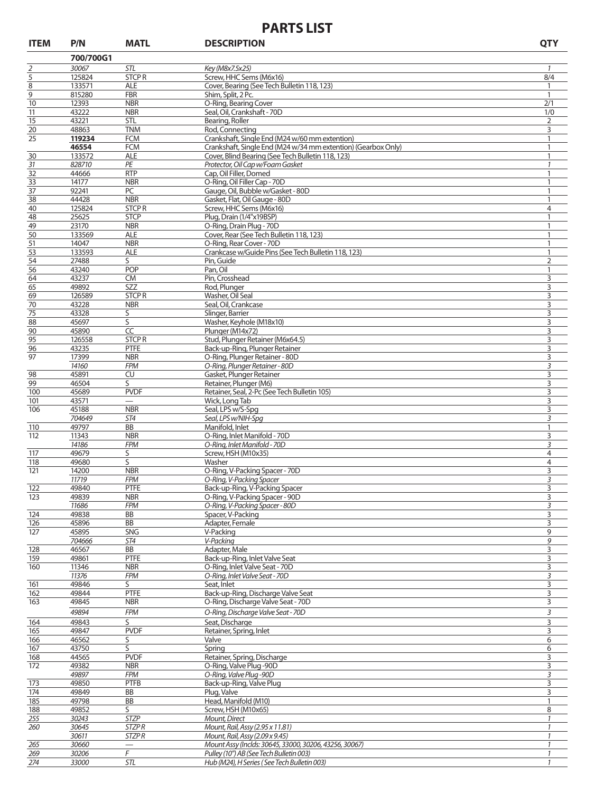## **PARTS LIST**

| <b>ITEM</b>    | P/N             | <b>MATL</b>                          | <b>DESCRIPTION</b>                                            | <b>QTY</b>     |
|----------------|-----------------|--------------------------------------|---------------------------------------------------------------|----------------|
|                | 700/700G1       |                                      |                                                               |                |
| $\overline{2}$ | 30067           | STL                                  | Key (M8x7.5x25)                                               | $\mathcal{I}$  |
| 5              | 125824          | <b>STCPR</b>                         | Screw, HHC Sems (M6x16)                                       | 8/4            |
| 8              | 133571          | <b>ALE</b>                           | Cover, Bearing (See Tech Bulletin 118, 123)                   | 1              |
| 9              | 815280          | <b>FBR</b>                           | Shim, Split, 2 Pc.                                            | $\mathbf{1}$   |
| 10             | 12393           | <b>NBR</b>                           | O-Ring, Bearing Cover                                         | 2/1            |
| 11             | 43222           | <b>NBR</b>                           | Seal, Oil, Crankshaft - 70D                                   | 1/0            |
| 15             | 43221           | <b>STL</b>                           | Bearing, Roller                                               | 2              |
| 20             | 48863           | <b>TNM</b>                           | Rod, Connecting                                               | 3              |
| 25             | 119234          | <b>FCM</b>                           | Crankshaft, Single End (M24 w/60 mm extention)                | 1              |
|                | 46554           | <b>FCM</b>                           | Crankshaft, Single End (M24 w/34 mm extention) (Gearbox Only) | $\mathbf{1}$   |
| 30             | 133572          | <b>ALE</b>                           | Cover, Blind Bearing (See Tech Bulletin 118, 123)             | $\mathbf{1}$   |
| 31             | 828710          | PE                                   | Protector, Oil Cap w/Foam Gasket                              | $\mathcal{I}$  |
| 32<br>33       | 44666<br>14177  | <b>RTP</b><br><b>NBR</b>             | Cap, Oil Filler, Domed<br>O-Ring, Oil Filler Cap - 70D        | 1<br>1         |
| 37             | 92241           | PC                                   | Gauge, Oil, Bubble w/Gasket - 80D                             | 1              |
| 38             | 44428           | <b>NBR</b>                           | Gasket, Flat, Oil Gauge - 80D                                 | $\mathbf{1}$   |
| 40             | 125824          | <b>STCPR</b>                         | Screw, HHC Sems (M6x16)                                       | 4              |
| 48             | 25625           | <b>STCP</b>                          | Plug, Drain (1/4"x19BSP)                                      | $\mathbf{1}$   |
| 49             | 23170           | <b>NBR</b>                           | O-Ring, Drain Plug - 70D                                      | 1              |
| 50             | 133569          | <b>ALE</b>                           | Cover, Rear (See Tech Bulletin 118, 123)                      | $\mathbf{1}$   |
| 51             | 14047           | <b>NBR</b>                           | O-Ring, Rear Cover - 70D                                      | 1              |
| 53             | 133593          | <b>ALE</b>                           | Crankcase w/Guide Pins (See Tech Bulletin 118, 123)           | $\mathbf{1}$   |
| 54             | 27488           | S                                    | Pin, Guide                                                    | $\overline{2}$ |
| 56             | 43240           | <b>POP</b>                           | Pan, Oil                                                      | $\mathbf{1}$   |
| 64             | 43237           | <b>CM</b>                            | Pin, Crosshead                                                | 3              |
| 65             | 49892           | <b>SZZ</b>                           | Rod, Plunger                                                  | 3              |
| 69             | 126589          | <b>STCPR</b>                         | Washer, Oil Seal                                              | 3              |
| 70             | 43228           | <b>NBR</b>                           | Seal, Oil, Crankcase                                          | 3              |
| 75             | 43328           | S                                    | Slinger, Barrier                                              | 3              |
| 88             | 45697           | S                                    | Washer, Keyhole (M18x10)                                      | 3              |
| 90             | 45890           | CC                                   | Plunger (M14x72)                                              | 3              |
| 95             | 126558          | <b>STCPR</b>                         | Stud, Plunger Retainer (M6x64.5)                              | 3              |
| 96             | 43235           | <b>PTFE</b>                          | Back-up-Ring, Plunger Retainer                                | 3              |
| 97             | 17399           | <b>NBR</b>                           | O-Ring, Plunger Retainer - 80D                                | 3              |
|                | 14160           | <b>FPM</b>                           | O-Ring, Plunger Retainer - 80D                                | 3              |
| 98             | 45891           | CU                                   | Gasket, Plunger Retainer                                      | 3              |
| 99             | 46504           | S                                    | Retainer, Plunger (M6)                                        | 3              |
| 100            | 45689           | <b>PVDF</b>                          | Retainer, Seal, 2-Pc (See Tech Bulletin 105)                  | 3              |
| 101            | 43571           | $\qquad \qquad \qquad$<br><b>NBR</b> | Wick, Long Tab                                                | 3              |
| 106            | 45188<br>704649 | ST4                                  | Seal, LPS w/S-Spg<br>Seal, LPS w/NIH-Spq                      | 3<br>3         |
| 110            | 49797           | BB                                   | Manifold, Inlet                                               | 1              |
| 112            | 11343           | <b>NBR</b>                           | O-Ring, Inlet Manifold - 70D                                  | 3              |
|                | 14186           | <b>FPM</b>                           | O-Ring, Inlet Manifold - 70D                                  | 3              |
| 117            | 49679           | S                                    | Screw, HSH (M10x35)                                           | 4              |
| 118            | 49680           | S                                    | Washer                                                        | $\overline{4}$ |
| 121            | 14200           | <b>NBR</b>                           | O-Ring, V-Packing Spacer - 70D                                | 3              |
|                | 11719           | <b>FPM</b>                           | O-Ring, V-Packing Spacer                                      | 3              |
| 122            | 49840           | PTFE                                 | Back-up-Ring, V-Packing Spacer                                | $\mathbf{R}$   |
| 123            | 49839           | <b>NBR</b>                           | O-Ring, V-Packing Spacer - 90D                                | 3              |
|                | 11686           | <b>FPM</b>                           | O-Ring, V-Packing Spacer - 80D                                | 3              |
| 124            | 49838           | BB                                   | Spacer, V-Packing                                             | 3              |
| 126            | 45896           | BB                                   | Adapter, Female                                               | 3              |
| 127            | 45895           | SNG                                  | V-Packing                                                     | 9              |
|                | 704666          | ST4                                  | V-Packina                                                     | 9              |
| 128            | 46567           | BB                                   | Adapter, Male                                                 | 3              |
| 159            | 49861           | PTFE                                 | Back-up-Ring, Inlet Valve Seat                                | 3              |
| 160            | 11346           | <b>NBR</b>                           | O-Ring, Inlet Valve Seat - 70D                                | 3              |
|                | 11376           | <b>FPM</b>                           | O-Ring, Inlet Valve Seat - 70D                                | 3              |
| 161            | 49846           | S                                    | Seat, Inlet                                                   | 3              |
| 162            | 49844           | PTFE                                 | Back-up-Ring, Discharge Valve Seat                            | 3              |
| 163            | 49845           | <b>NBR</b>                           | O-Ring, Discharge Valve Seat - 70D                            | 3              |
|                | 49894           | <b>FPM</b>                           | O-Ring, Discharge Valve Seat - 70D                            | 3              |
| 164            | 49843           | $\overline{\mathsf{S}}$              | Seat, Discharge                                               | 3              |
| 165            | 49847           | <b>PVDF</b>                          | Retainer, Spring, Inlet                                       | 3              |
| 166            | 46562           | S                                    | Valve                                                         | 6              |
| 167            | 43750           | S                                    | Spring                                                        | 6              |
| 168            | 44565           | <b>PVDF</b>                          | Retainer, Spring, Discharge                                   | 3              |
| 172            | 49382           | <b>NBR</b>                           | O-Ring, Valve Plug -90D                                       | 3              |
|                | 49897           | <b>FPM</b>                           | O-Ring, Valve Plug -90D                                       | 3              |
| 173            | 49850           | <b>PTFB</b>                          | Back-up-Ring, Valve Plug                                      | 3              |
| 174            | 49849           | BB                                   | Plug, Valve                                                   | 3              |
| 185            | 49798           | BB                                   | Head, Manifold (M10)                                          | $\mathbf{1}$   |
| 188            | 49852           | S                                    | Screw, HSH (M10x65)                                           | 8              |
| 255            | 30243           | <b>STZP</b>                          | Mount, Direct                                                 | 1              |
| 260            | 30645           | <i>STZPR</i>                         | Mount, Rail, Assy (2.95 x 11.81)                              | $\mathcal I$   |
|                | 30611           | <b>STZPR</b>                         | Mount, Rail, Assy (2.09 x 9.45)                               | $\mathcal{I}$  |
| 265            | 30660           |                                      | Mount Assy (Inclds: 30645, 33000, 30206, 43256, 30067)        | $\mathcal I$   |
| 269            | 30206           | F                                    | Pulley (10") AB (See Tech Bulletin 003)                       | $\mathcal{I}$  |

*33000 STL Hub (M24), H Series ( See Tech Bulletin 003)*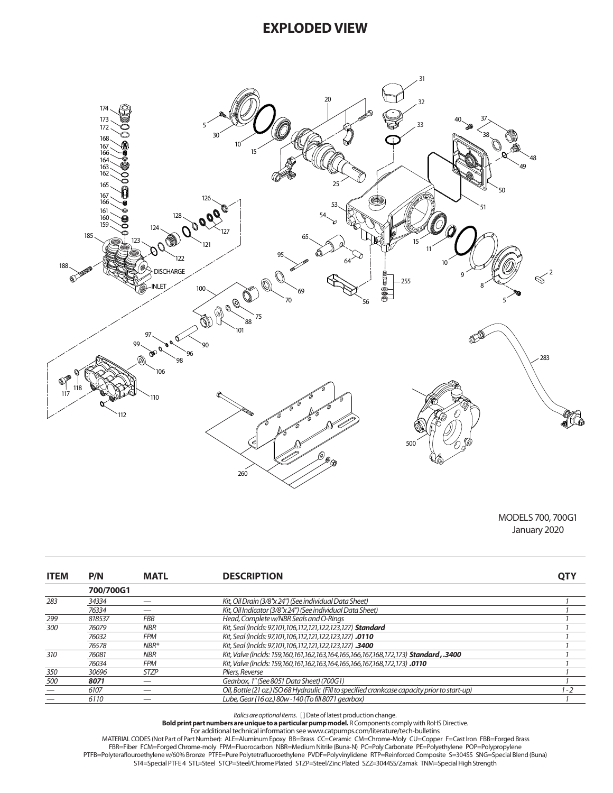### **EXPLODED VIEW**



MODELS 700, 700G1 January 2020

| <b>ITEM</b> | P/N       | <b>MATL</b> | <b>DESCRIPTION</b>                                                                             | <b>QTY</b> |
|-------------|-----------|-------------|------------------------------------------------------------------------------------------------|------------|
|             | 700/700G1 |             |                                                                                                |            |
| 283         | 34334     |             | Kit. Oil Drain (3/8"x 24") (See individual Data Sheet)                                         |            |
|             | 76334     |             | Kit. Oil Indicator (3/8"x 24") (See individual Data Sheet)                                     |            |
| 299         | 818537    | <b>FBB</b>  | Head, Complete w/NBR Seals and O-Rinas                                                         |            |
| 300         | 76079     | <b>NBR</b>  | Kit, Seal (Inclds: 97,101,106,112,121,122,123,127) Standard                                    |            |
|             | 76032     | FPM         | Kit, Seal (Inclds: 97,101,106,112,121,122,123,127) .0110                                       |            |
|             | 76578     | $NBR*$      | Kit, Seal (Inclds: 97,101,106,112,121,122,123,127) .3400                                       |            |
| 310         | 76081     | <b>NBR</b>  | Kit. Valve (Inclds: 159.160.161.162.163.164.165.166.167.168.172.173) <b>Standard, .3400</b>    |            |
|             | 76034     | <b>FPM</b>  | Kit, Valve (Inclds: 159,160,161,162,163,164,165,166,167,168,172,173) .0110                     |            |
| 350         | 30696     | <b>STZP</b> | Pliers, Reverse                                                                                |            |
| 500         | 8071      |             | Gearbox, 1" (See 8051 Data Sheet) (700G1)                                                      |            |
|             | 6107      |             | Oil, Bottle (21 oz.) ISO 68 Hydraulic (Fill to specified crankcase capacity prior to start-up) | 1 - 2      |
|             | 6110      |             | Lube, Gear (16 oz.) 80w -140 (To fill 8071 gearbox)                                            |            |

Italics are optional items. [] Date of latest production change.<br>B**old print part numbers are unique to a particular pump model.** R Components comply with RoHS Directive.<br>MATERIAL CODES (Not Part of Part Number): ALE=Alumi

FBR=Fiber FCM=Forged Chrome-moly FPM=Fluorocarbon NBR=Medium Nitrile (Buna-N) PC=Poly Carbonate PE=Polyethylene POP=Polypropylene

PTFB=Polyteraflouroethylene w/60% Bronze PTFE=Pure Polytetrafluoroethylene PVDF=Polyvinylidene RTP=Reinforced Composite S=304SS SNG=Special Blend (Buna) ST4=Special PTFE 4 STL=Steel STCP=Steel/Chrome Plated STZP=Steel/Zinc Plated SZZ=3044SS/Zamak TNM=Special High Strength